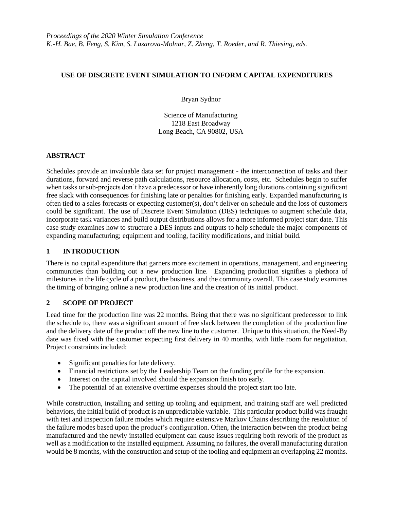## **USE OF DISCRETE EVENT SIMULATION TO INFORM CAPITAL EXPENDITURES**

Bryan Sydnor

Science of Manufacturing 1218 East Broadway Long Beach, CA 90802, USA

## **ABSTRACT**

Schedules provide an invaluable data set for project management - the interconnection of tasks and their durations, forward and reverse path calculations, resource allocation, costs, etc. Schedules begin to suffer when tasks or sub-projects don't have a predecessor or have inherently long durations containing significant free slack with consequences for finishing late or penalties for finishing early. Expanded manufacturing is often tied to a sales forecasts or expecting customer(s), don't deliver on schedule and the loss of customers could be significant. The use of Discrete Event Simulation (DES) techniques to augment schedule data, incorporate task variances and build output distributions allows for a more informed project start date. This case study examines how to structure a DES inputs and outputs to help schedule the major components of expanding manufacturing; equipment and tooling, facility modifications, and initial build.

# **1 INTRODUCTION**

There is no capital expenditure that garners more excitement in operations, management, and engineering communities than building out a new production line. Expanding production signifies a plethora of milestones in the life cycle of a product, the business, and the community overall. This case study examines the timing of bringing online a new production line and the creation of its initial product.

# **2 SCOPE OF PROJECT**

Lead time for the production line was 22 months. Being that there was no significant predecessor to link the schedule to, there was a significant amount of free slack between the completion of the production line and the delivery date of the product off the new line to the customer. Unique to this situation, the Need-By date was fixed with the customer expecting first delivery in 40 months, with little room for negotiation. Project constraints included:

- Significant penalties for late delivery.
- Financial restrictions set by the Leadership Team on the funding profile for the expansion.
- Interest on the capital involved should the expansion finish too early.
- The potential of an extensive overtime expenses should the project start too late.

While construction, installing and setting up tooling and equipment, and training staff are well predicted behaviors, the initial build of product is an unpredictable variable. This particular product build was fraught with test and inspection failure modes which require extensive Markov Chains describing the resolution of the failure modes based upon the product's configuration. Often, the interaction between the product being manufactured and the newly installed equipment can cause issues requiring both rework of the product as well as a modification to the installed equipment. Assuming no failures, the overall manufacturing duration would be 8 months, with the construction and setup of the tooling and equipment an overlapping 22 months.